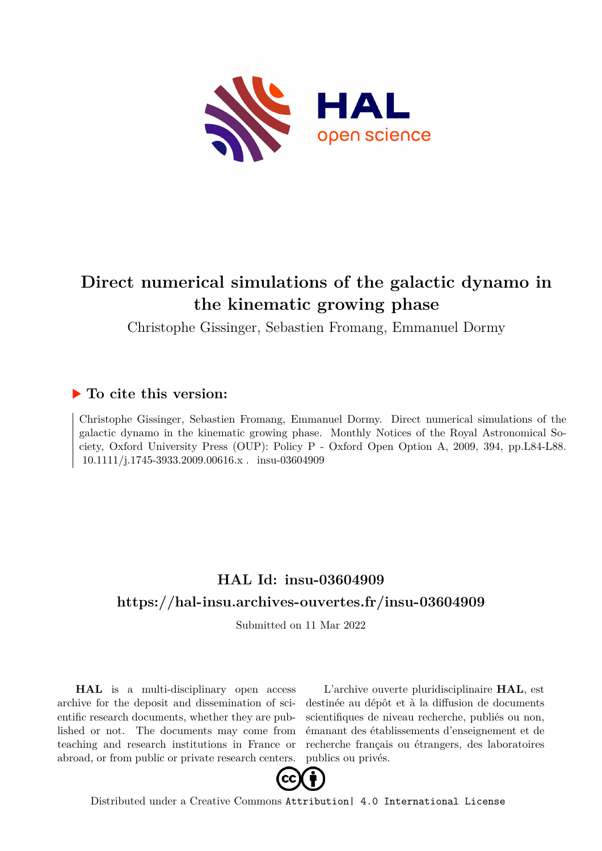

# **Direct numerical simulations of the galactic dynamo in the kinematic growing phase**

Christophe Gissinger, Sebastien Fromang, Emmanuel Dormy

## **To cite this version:**

Christophe Gissinger, Sebastien Fromang, Emmanuel Dormy. Direct numerical simulations of the galactic dynamo in the kinematic growing phase. Monthly Notices of the Royal Astronomical Society, Oxford University Press (OUP): Policy P - Oxford Open Option A, 2009, 394, pp.L84-L88. 10.1111/j.1745-3933.2009.00616.x . insu-03604909

## **HAL Id: insu-03604909 <https://hal-insu.archives-ouvertes.fr/insu-03604909>**

Submitted on 11 Mar 2022

**HAL** is a multi-disciplinary open access archive for the deposit and dissemination of scientific research documents, whether they are published or not. The documents may come from teaching and research institutions in France or abroad, or from public or private research centers.

L'archive ouverte pluridisciplinaire **HAL**, est destinée au dépôt et à la diffusion de documents scientifiques de niveau recherche, publiés ou non, émanant des établissements d'enseignement et de recherche français ou étrangers, des laboratoires publics ou privés.



Distributed under a Creative Commons [Attribution| 4.0 International License](http://creativecommons.org/licenses/by/4.0/)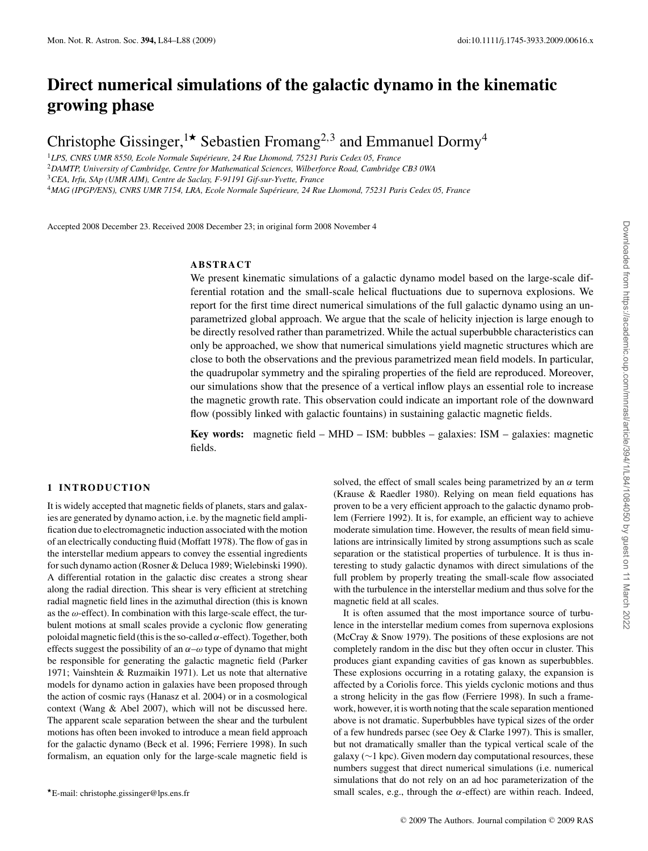## **Direct numerical simulations of the galactic dynamo in the kinematic growing phase**

Christophe Gissinger,<sup>1\*</sup> Sebastien Fromang<sup>2,3</sup> and Emmanuel Dormy<sup>4</sup>

<sup>1</sup>*LPS, CNRS UMR 8550, Ecole Normale Superieure, 24 Rue Lhomond, 75231 Paris Cedex 05, France ´*

<sup>2</sup>*DAMTP, University of Cambridge, Centre for Mathematical Sciences, Wilberforce Road, Cambridge CB3 0WA*

<sup>3</sup>*CEA, Irfu, SAp (UMR AIM), Centre de Saclay, F-91191 Gif-sur-Yvette, France*

<sup>4</sup>*MAG (IPGP/ENS), CNRS UMR 7154, LRA, Ecole Normale Superieure, 24 Rue Lhomond, 75231 Paris Cedex 05, France ´*

Accepted 2008 December 23. Received 2008 December 23; in original form 2008 November 4

## **ABSTRACT**

We present kinematic simulations of a galactic dynamo model based on the large-scale differential rotation and the small-scale helical fluctuations due to supernova explosions. We report for the first time direct numerical simulations of the full galactic dynamo using an unparametrized global approach. We argue that the scale of helicity injection is large enough to be directly resolved rather than parametrized. While the actual superbubble characteristics can only be approached, we show that numerical simulations yield magnetic structures which are close to both the observations and the previous parametrized mean field models. In particular, the quadrupolar symmetry and the spiraling properties of the field are reproduced. Moreover, our simulations show that the presence of a vertical inflow plays an essential role to increase the magnetic growth rate. This observation could indicate an important role of the downward flow (possibly linked with galactic fountains) in sustaining galactic magnetic fields.

**Key words:** magnetic field – MHD – ISM: bubbles – galaxies: ISM – galaxies: magnetic fields.

### **1 INTRODUCTION**

It is widely accepted that magnetic fields of planets, stars and galaxies are generated by dynamo action, i.e. by the magnetic field amplification due to electromagnetic induction associated with the motion of an electrically conducting fluid (Moffatt 1978). The flow of gas in the interstellar medium appears to convey the essential ingredients for such dynamo action (Rosner & Deluca 1989; Wielebinski 1990). A differential rotation in the galactic disc creates a strong shear along the radial direction. This shear is very efficient at stretching radial magnetic field lines in the azimuthal direction (this is known as the *ω*-effect). In combination with this large-scale effect, the turbulent motions at small scales provide a cyclonic flow generating poloidal magnetic field (this is the so-called *α*-effect). Together, both effects suggest the possibility of an *α*–*ω* type of dynamo that might be responsible for generating the galactic magnetic field (Parker 1971; Vainshtein & Ruzmaikin 1971). Let us note that alternative models for dynamo action in galaxies have been proposed through the action of cosmic rays (Hanasz et al. 2004) or in a cosmological context (Wang & Abel 2007), which will not be discussed here. The apparent scale separation between the shear and the turbulent motions has often been invoked to introduce a mean field approach for the galactic dynamo (Beck et al. 1996; Ferriere 1998). In such formalism, an equation only for the large-scale magnetic field is

solved, the effect of small scales being parametrized by an  $\alpha$  term (Krause & Raedler 1980). Relying on mean field equations has proven to be a very efficient approach to the galactic dynamo problem (Ferriere 1992). It is, for example, an efficient way to achieve moderate simulation time. However, the results of mean field simulations are intrinsically limited by strong assumptions such as scale separation or the statistical properties of turbulence. It is thus interesting to study galactic dynamos with direct simulations of the full problem by properly treating the small-scale flow associated with the turbulence in the interstellar medium and thus solve for the magnetic field at all scales.

It is often assumed that the most importance source of turbulence in the interstellar medium comes from supernova explosions (McCray & Snow 1979). The positions of these explosions are not completely random in the disc but they often occur in cluster. This produces giant expanding cavities of gas known as superbubbles. These explosions occurring in a rotating galaxy, the expansion is affected by a Coriolis force. This yields cyclonic motions and thus a strong helicity in the gas flow (Ferriere 1998). In such a framework, however, it is worth noting that the scale separation mentioned above is not dramatic. Superbubbles have typical sizes of the order of a few hundreds parsec (see Oey & Clarke 1997). This is smaller, but not dramatically smaller than the typical vertical scale of the galaxy (∼1 kpc). Given modern day computational resources, these numbers suggest that direct numerical simulations (i.e. numerical simulations that do not rely on an ad hoc parameterization of the small scales, e.g., through the  $\alpha$ -effect) are within reach. Indeed,

*<sup>-</sup>*E-mail: christophe.gissinger@lps.ens.fr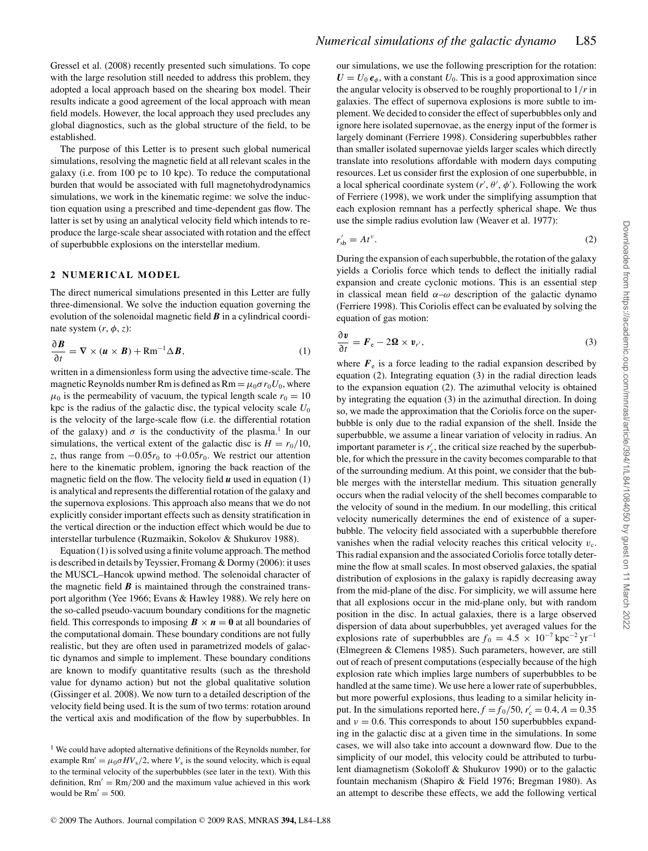Gressel et al. (2008) recently presented such simulations. To cope with the large resolution still needed to address this problem, they adopted a local approach based on the shearing box model. Their results indicate a good agreement of the local approach with mean field models. However, the local approach they used precludes any global diagnostics, such as the global structure of the field, to be established.

The purpose of this Letter is to present such global numerical simulations, resolving the magnetic field at all relevant scales in the galaxy (i.e. from 100 pc to 10 kpc). To reduce the computational burden that would be associated with full magnetohydrodynamics simulations, we work in the kinematic regime: we solve the induction equation using a prescribed and time-dependent gas flow. The latter is set by using an analytical velocity field which intends to reproduce the large-scale shear associated with rotation and the effect of superbubble explosions on the interstellar medium.

#### **2 NUMERICAL MODEL**

The direct numerical simulations presented in this Letter are fully three-dimensional. We solve the induction equation governing the evolution of the solenoidal magnetic field *B* in a cylindrical coordinate system  $(r, \phi, z)$ :

$$
\frac{\partial \boldsymbol{B}}{\partial t} = \nabla \times (\boldsymbol{u} \times \boldsymbol{B}) + \text{Rm}^{-1} \Delta \boldsymbol{B}, \tag{1}
$$

written in a dimensionless form using the advective time-scale. The magnetic Reynolds number Rm is defined as  $\text{Rm} = \mu_0 \sigma r_0 U_0$ , where  $\mu_0$  is the permeability of vacuum, the typical length scale  $r_0 = 10$ kpc is the radius of the galactic disc, the typical velocity scale  $U_0$ is the velocity of the large-scale flow (i.e. the differential rotation of the galaxy) and  $\sigma$  is the conductivity of the plasma.<sup>1</sup> In our simulations, the vertical extent of the galactic disc is  $H = r_0/10$ , *z*, thus range from  $-0.05r_0$  to  $+0.05r_0$ . We restrict our attention here to the kinematic problem, ignoring the back reaction of the magnetic field on the flow. The velocity field  $\boldsymbol{u}$  used in equation (1) is analytical and represents the differential rotation of the galaxy and the supernova explosions. This approach also means that we do not explicitly consider important effects such as density stratification in the vertical direction or the induction effect which would be due to interstellar turbulence (Ruzmaikin, Sokolov & Shukurov 1988).

Equation (1) is solved using a finite volume approach. The method is described in details by Teyssier, Fromang & Dormy (2006): it uses the MUSCL–Hancok upwind method. The solenoidal character of the magnetic field  $\boldsymbol{B}$  is maintained through the constrained transport algorithm (Yee 1966; Evans & Hawley 1988). We rely here on the so-called pseudo-vacuum boundary conditions for the magnetic field. This corresponds to imposing  $\mathbf{B} \times \mathbf{n} = 0$  at all boundaries of the computational domain. These boundary conditions are not fully realistic, but they are often used in parametrized models of galactic dynamos and simple to implement. These boundary conditions are known to modify quantitative results (such as the threshold value for dynamo action) but not the global qualitative solution (Gissinger et al. 2008). We now turn to a detailed description of the velocity field being used. It is the sum of two terms: rotation around the vertical axis and modification of the flow by superbubbles. In our simulations, we use the following prescription for the rotation:  $U = U_0 e_\phi$ , with a constant  $U_0$ . This is a good approximation since the angular velocity is observed to be roughly proportional to 1*/r* in galaxies. The effect of supernova explosions is more subtle to implement. We decided to consider the effect of superbubbles only and ignore here isolated supernovae, as the energy input of the former is largely dominant (Ferriere 1998). Considering superbubbles rather than smaller isolated supernovae yields larger scales which directly translate into resolutions affordable with modern days computing resources. Let us consider first the explosion of one superbubble, in a local spherical coordinate system  $(r', \theta', \phi')$ . Following the work of Ferriere (1998), we work under the simplifying assumption that each explosion remnant has a perfectly spherical shape. We thus use the simple radius evolution law (Weaver et al. 1977):

$$
r'_{\rm sb} = At^{\nu}.\tag{2}
$$

During the expansion of each superbubble, the rotation of the galaxy yields a Coriolis force which tends to deflect the initially radial expansion and create cyclonic motions. This is an essential step in classical mean field  $\alpha-\omega$  description of the galactic dynamo (Ferriere 1998). This Coriolis effect can be evaluated by solving the equation of gas motion:

$$
\frac{\partial v}{\partial t} = F_{\rm e} - 2\Omega \times v_{r'},\tag{3}
$$

where  $F_e$  is a force leading to the radial expansion described by equation (2). Integrating equation (3) in the radial direction leads to the expansion equation (2). The azimuthal velocity is obtained by integrating the equation (3) in the azimuthal direction. In doing so, we made the approximation that the Coriolis force on the superbubble is only due to the radial expansion of the shell. Inside the superbubble, we assume a linear variation of velocity in radius. An important parameter is  $r'_{c}$ , the critical size reached by the superbubble, for which the pressure in the cavity becomes comparable to that of the surrounding medium. At this point, we consider that the bubble merges with the interstellar medium. This situation generally occurs when the radial velocity of the shell becomes comparable to the velocity of sound in the medium. In our modelling, this critical velocity numerically determines the end of existence of a superbubble. The velocity field associated with a superbubble therefore vanishes when the radial velocity reaches this critical velocity  $v_c$ . This radial expansion and the associated Coriolis force totally determine the flow at small scales. In most observed galaxies, the spatial distribution of explosions in the galaxy is rapidly decreasing away from the mid-plane of the disc. For simplicity, we will assume here that all explosions occur in the mid-plane only, but with random position in the disc. In actual galaxies, there is a large observed dispersion of data about superbubbles, yet averaged values for the explosions rate of superbubbles are  $f_0 = 4.5 \times 10^{-7}$  kpc<sup>-2</sup> yr<sup>-1</sup> (Elmegreen & Clemens 1985). Such parameters, however, are still out of reach of present computations (especially because of the high explosion rate which implies large numbers of superbubbles to be handled at the same time). We use here a lower rate of superbubbles, but more powerful explosions, thus leading to a similar helicity input. In the simulations reported here,  $f = f_0/50$ ,  $r_c' = 0.4$ ,  $A = 0.35$ and  $\nu = 0.6$ . This corresponds to about 150 superbubbles expanding in the galactic disc at a given time in the simulations. In some cases, we will also take into account a downward flow. Due to the simplicity of our model, this velocity could be attributed to turbulent diamagnetism (Sokoloff & Shukurov 1990) or to the galactic fountain mechanism (Shapiro & Field 1976; Bregman 1980). As an attempt to describe these effects, we add the following vertical

<sup>&</sup>lt;sup>1</sup> We could have adopted alternative definitions of the Reynolds number, for example  $\text{Rm}' = \mu_0 \sigma H V_s / 2$ , where  $V_s$  is the sound velocity, which is equal to the terminal velocity of the superbubbles (see later in the text). With this definition,  $Rm' = Rm/200$  and the maximum value achieved in this work would be  $Rm' = 500$ .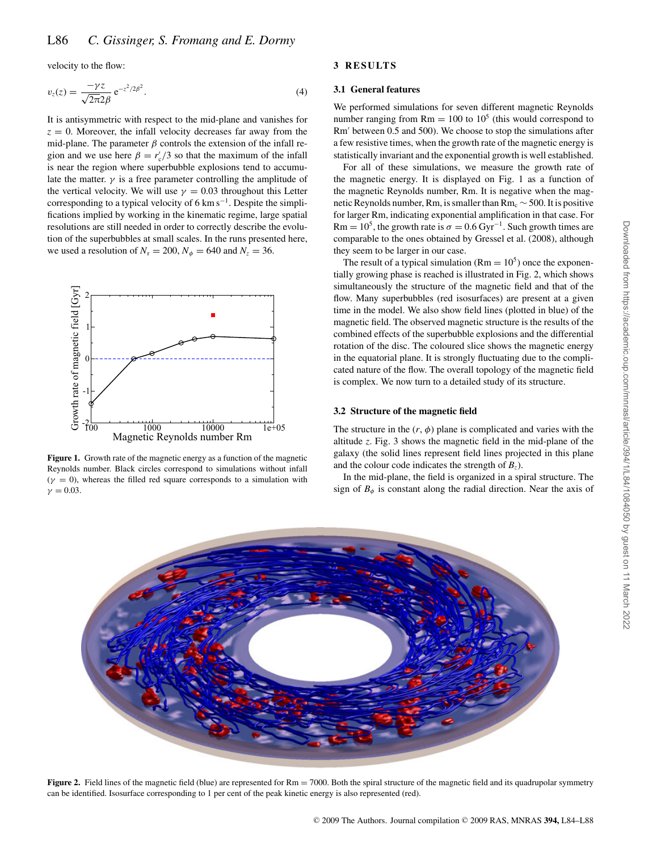velocity to the flow:

$$
v_z(z) = \frac{-\gamma z}{\sqrt{2\pi}2\beta} e^{-z^2/2\beta^2}.
$$
 (4)

It is antisymmetric with respect to the mid-plane and vanishes for  $z = 0$ . Moreover, the infall velocity decreases far away from the mid-plane. The parameter  $\beta$  controls the extension of the infall region and we use here  $\beta = r_c^2/3$  so that the maximum of the infall is near the region where superbubble explosions tend to accumulate the matter.  $\gamma$  is a free parameter controlling the amplitude of the vertical velocity. We will use  $\gamma = 0.03$  throughout this Letter corresponding to a typical velocity of 6 km s<sup> $-1$ </sup>. Despite the simplifications implied by working in the kinematic regime, large spatial resolutions are still needed in order to correctly describe the evolution of the superbubbles at small scales. In the runs presented here, we used a resolution of  $N_r = 200$ ,  $N_\phi = 640$  and  $N_z = 36$ .



**Figure 1.** Growth rate of the magnetic energy as a function of the magnetic Reynolds number. Black circles correspond to simulations without infall  $(\gamma = 0)$ , whereas the filled red square corresponds to a simulation with  $\gamma = 0.03$ .

## **3 RESULTS**

#### **3.1 General features**

We performed simulations for seven different magnetic Reynolds number ranging from  $Rm = 100$  to  $10<sup>5</sup>$  (this would correspond to Rm' between 0.5 and 500). We choose to stop the simulations after a few resistive times, when the growth rate of the magnetic energy is statistically invariant and the exponential growth is well established.

For all of these simulations, we measure the growth rate of the magnetic energy. It is displayed on Fig. 1 as a function of the magnetic Reynolds number, Rm. It is negative when the magnetic Reynolds number, Rm, is smaller than  $Rm_c \sim 500$ . It is positive for larger Rm, indicating exponential amplification in that case. For Rm =  $10^5$ , the growth rate is  $\sigma = 0.6 \text{ Gyr}^{-1}$ . Such growth times are comparable to the ones obtained by Gressel et al. (2008), although they seem to be larger in our case.

The result of a typical simulation  $(Rm = 10^5)$  once the exponentially growing phase is reached is illustrated in Fig. 2, which shows simultaneously the structure of the magnetic field and that of the flow. Many superbubbles (red isosurfaces) are present at a given time in the model. We also show field lines (plotted in blue) of the magnetic field. The observed magnetic structure is the results of the combined effects of the superbubble explosions and the differential rotation of the disc. The coloured slice shows the magnetic energy in the equatorial plane. It is strongly fluctuating due to the complicated nature of the flow. The overall topology of the magnetic field is complex. We now turn to a detailed study of its structure.

#### **3.2 Structure of the magnetic field**

The structure in the  $(r, \phi)$  plane is complicated and varies with the altitude *z*. Fig. 3 shows the magnetic field in the mid-plane of the galaxy (the solid lines represent field lines projected in this plane and the colour code indicates the strength of  $B_z$ ).

In the mid-plane, the field is organized in a spiral structure. The sign of  $B_{\phi}$  is constant along the radial direction. Near the axis of



**Figure 2.** Field lines of the magnetic field (blue) are represented for Rm = 7000. Both the spiral structure of the magnetic field and its quadrupolar symmetry can be identified. Isosurface corresponding to 1 per cent of the peak kinetic energy is also represented (red).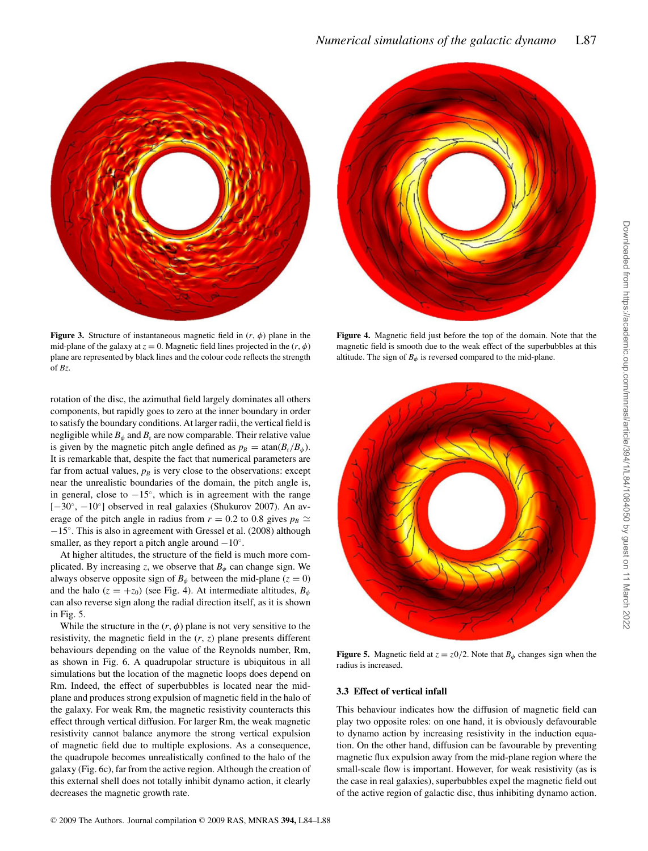

**Figure 3.** Structure of instantaneous magnetic field in  $(r, \phi)$  plane in the mid-plane of the galaxy at  $z = 0$ . Magnetic field lines projected in the  $(r, \phi)$ plane are represented by black lines and the colour code reflects the strength of *Bz*.

rotation of the disc, the azimuthal field largely dominates all others components, but rapidly goes to zero at the inner boundary in order to satisfy the boundary conditions. At larger radii, the vertical field is negligible while  $B_{\phi}$  and  $B_{r}$  are now comparable. Their relative value is given by the magnetic pitch angle defined as  $p_B = \text{atan}(B_r/B_\phi)$ . It is remarkable that, despite the fact that numerical parameters are far from actual values,  $p_B$  is very close to the observations: except near the unrealistic boundaries of the domain, the pitch angle is, in general, close to  $-15°$ , which is in agreement with the range [−30◦, −10◦] observed in real galaxies (Shukurov 2007). An average of the pitch angle in radius from  $r = 0.2$  to 0.8 gives  $p_B \simeq$ −15◦. This is also in agreement with Gressel et al. (2008) although smaller, as they report a pitch angle around  $-10°$ .

At higher altitudes, the structure of the field is much more complicated. By increasing *z*, we observe that  $B_{\phi}$  can change sign. We always observe opposite sign of  $B_{\phi}$  between the mid-plane ( $z = 0$ ) and the halo ( $z = +z_0$ ) (see Fig. 4). At intermediate altitudes,  $B_\phi$ can also reverse sign along the radial direction itself, as it is shown in Fig. 5.

While the structure in the  $(r, \phi)$  plane is not very sensitive to the resistivity, the magnetic field in the (*r*, *z*) plane presents different behaviours depending on the value of the Reynolds number, Rm, as shown in Fig. 6. A quadrupolar structure is ubiquitous in all simulations but the location of the magnetic loops does depend on Rm. Indeed, the effect of superbubbles is located near the midplane and produces strong expulsion of magnetic field in the halo of the galaxy. For weak Rm, the magnetic resistivity counteracts this effect through vertical diffusion. For larger Rm, the weak magnetic resistivity cannot balance anymore the strong vertical expulsion of magnetic field due to multiple explosions. As a consequence, the quadrupole becomes unrealistically confined to the halo of the galaxy (Fig. 6c), far from the active region. Although the creation of this external shell does not totally inhibit dynamo action, it clearly decreases the magnetic growth rate.



**Figure 4.** Magnetic field just before the top of the domain. Note that the magnetic field is smooth due to the weak effect of the superbubbles at this altitude. The sign of  $B_{\phi}$  is reversed compared to the mid-plane.



**Figure 5.** Magnetic field at  $z = z_0/2$ . Note that  $B_\phi$  changes sign when the radius is increased.

#### **3.3 Effect of vertical infall**

This behaviour indicates how the diffusion of magnetic field can play two opposite roles: on one hand, it is obviously defavourable to dynamo action by increasing resistivity in the induction equation. On the other hand, diffusion can be favourable by preventing magnetic flux expulsion away from the mid-plane region where the small-scale flow is important. However, for weak resistivity (as is the case in real galaxies), superbubbles expel the magnetic field out of the active region of galactic disc, thus inhibiting dynamo action.